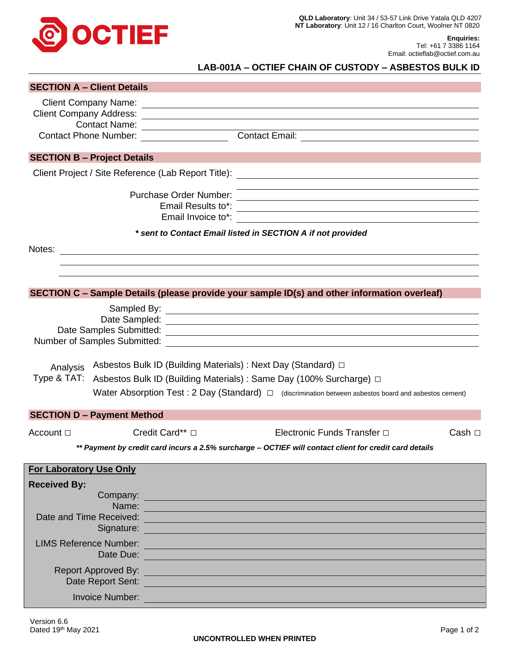

**Enquiries:** Tel: +61 7 3386 1164 Email: octieflab@octief.com.au

## **LAB-001A – OCTIEF CHAIN OF CUSTODY – ASBESTOS BULK ID**

| <b>SECTION A - Client Details</b>  |                            |                                                                                                                |                                                                                                                        |             |  |
|------------------------------------|----------------------------|----------------------------------------------------------------------------------------------------------------|------------------------------------------------------------------------------------------------------------------------|-------------|--|
|                                    |                            |                                                                                                                |                                                                                                                        |             |  |
|                                    |                            |                                                                                                                |                                                                                                                        |             |  |
|                                    | <b>Contact Name:</b>       |                                                                                                                |                                                                                                                        |             |  |
|                                    |                            | Contact Phone Number: __________________                                                                       | <b>Contact Email:</b>                                                                                                  |             |  |
| <b>SECTION B - Project Details</b> |                            |                                                                                                                |                                                                                                                        |             |  |
|                                    |                            |                                                                                                                |                                                                                                                        |             |  |
|                                    |                            | Purchase Order Number:<br>Email Results to*:                                                                   | <u> 1989 - Johann Stoff, deutscher Stoffen und der Stoffen und der Stoffen und der Stoffen und der Stoffen und der</u> |             |  |
|                                    |                            |                                                                                                                |                                                                                                                        |             |  |
|                                    |                            |                                                                                                                | * sent to Contact Email listed in SECTION A if not provided                                                            |             |  |
|                                    |                            |                                                                                                                |                                                                                                                        |             |  |
|                                    |                            |                                                                                                                |                                                                                                                        |             |  |
|                                    |                            |                                                                                                                |                                                                                                                        |             |  |
|                                    |                            |                                                                                                                | SECTION C - Sample Details (please provide your sample ID(s) and other information overleaf)                           |             |  |
|                                    |                            |                                                                                                                |                                                                                                                        |             |  |
|                                    |                            |                                                                                                                |                                                                                                                        |             |  |
|                                    |                            |                                                                                                                |                                                                                                                        |             |  |
|                                    |                            |                                                                                                                |                                                                                                                        |             |  |
| Analysis                           |                            |                                                                                                                | Asbestos Bulk ID (Building Materials) : Next Day (Standard) □                                                          |             |  |
| Type & TAT:                        |                            |                                                                                                                | Asbestos Bulk ID (Building Materials) : Same Day (100% Surcharge) □                                                    |             |  |
|                                    |                            |                                                                                                                | Water Absorption Test: 2 Day (Standard) $\Box$ (discrimination between asbestos board and asbestos cement)             |             |  |
|                                    |                            |                                                                                                                |                                                                                                                        |             |  |
| <b>SECTION D - Payment Method</b>  |                            |                                                                                                                |                                                                                                                        |             |  |
| Account $\Box$                     |                            | Credit Card** □                                                                                                | Electronic Funds Transfer □                                                                                            | Cash $\Box$ |  |
|                                    |                            |                                                                                                                | ** Payment by credit card incurs a 2.5% surcharge - OCTIEF will contact client for credit card details                 |             |  |
| <b>For Laboratory Use Only</b>     |                            |                                                                                                                |                                                                                                                        |             |  |
|                                    |                            |                                                                                                                |                                                                                                                        |             |  |
| <b>Received By:</b>                |                            |                                                                                                                | Company:                                                                                                               |             |  |
|                                    | Name:                      |                                                                                                                | a de la construcción de la construcción de la construcción de la construcción de la construcción de la construcción    |             |  |
|                                    |                            |                                                                                                                | Date and Time Received: <b>All and Time Received:</b> All and Time Received:                                           |             |  |
|                                    |                            | Signature: <u>Contractor Communication</u>                                                                     |                                                                                                                        |             |  |
|                                    |                            | LIMS Reference Number:                                                                                         |                                                                                                                        |             |  |
|                                    |                            | Date Due:                                                                                                      |                                                                                                                        |             |  |
|                                    | <b>Report Approved By:</b> |                                                                                                                | <u> 1989 - Johann Stein, marwolaethau (b. 1989)</u>                                                                    |             |  |
|                                    |                            | Date Report Sent: New York Senter Sentence Contract of the Sentence Contract of the Sentence Contract of the S |                                                                                                                        |             |  |
|                                    | <b>Invoice Number:</b>     |                                                                                                                |                                                                                                                        |             |  |
|                                    |                            |                                                                                                                |                                                                                                                        |             |  |